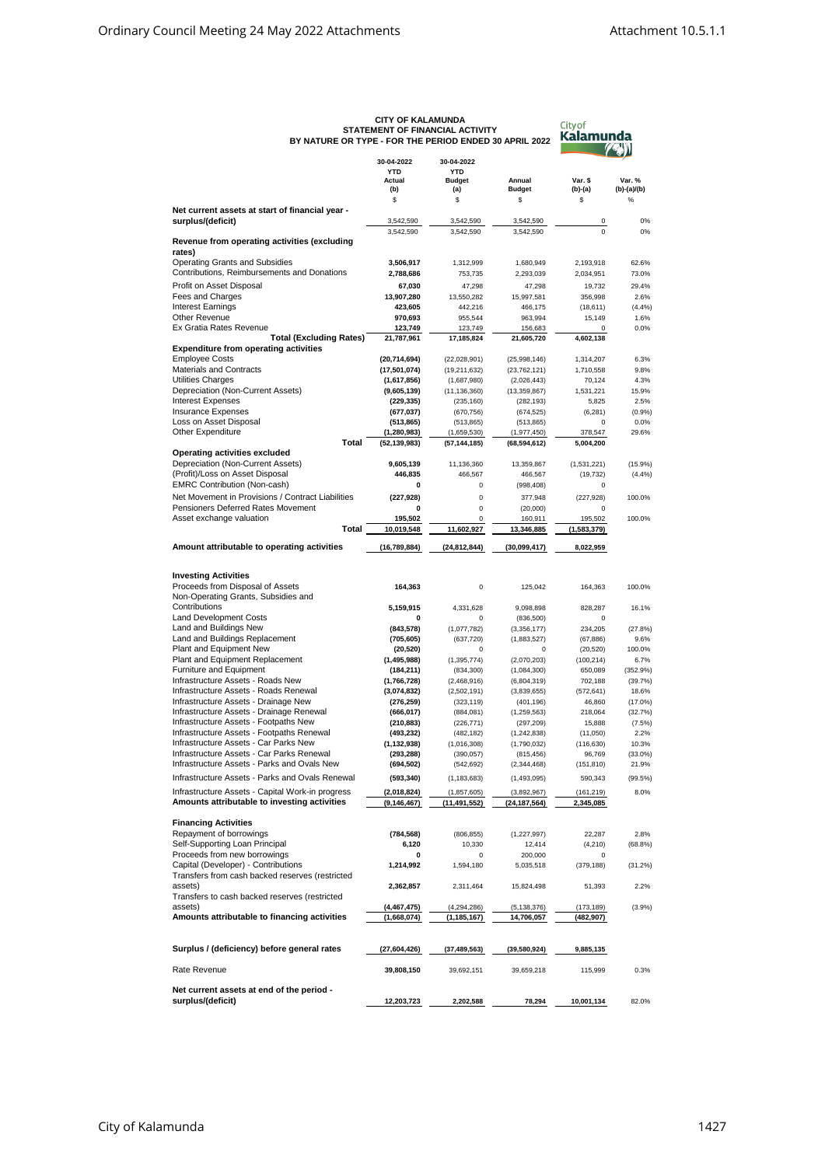| BY NATURE OR TYPE - FOR THE PERIOD ENDED 30 APRIL 2022                                           | <b>CITY OF KALAMUNDA</b><br>STATEMENT OF FINANCIAL ACTIVITY | City of<br>Kalamunda                             |                                |                         |                         |
|--------------------------------------------------------------------------------------------------|-------------------------------------------------------------|--------------------------------------------------|--------------------------------|-------------------------|-------------------------|
|                                                                                                  | 30-04-2022<br><b>YTD</b><br>Actual<br>(b)                   | 30-04-2022<br><b>YTD</b><br><b>Budget</b><br>(a) | Annual<br><b>Budget</b>        | Var. \$<br>(b)-(a)      | Var. %<br>$(b)-(a)/(b)$ |
|                                                                                                  | \$                                                          | \$                                               | \$                             | \$                      | %                       |
| Net current assets at start of financial year -<br>surplus/(deficit)                             | 3,542,590                                                   | 3,542,590                                        | 3,542,590                      | 0                       | 0%                      |
| Revenue from operating activities (excluding                                                     | 3,542,590                                                   | 3,542,590                                        | 3,542,590                      | $\mathbf 0$             | 0%                      |
| rates)                                                                                           |                                                             |                                                  |                                |                         |                         |
| <b>Operating Grants and Subsidies</b><br>Contributions, Reimbursements and Donations             | 3,506,917                                                   | 1,312,999                                        | 1,680,949                      | 2,193,918               | 62.6%                   |
| Profit on Asset Disposal                                                                         | 2,788,686<br>67,030                                         | 753,735<br>47,298                                | 2,293,039<br>47,298            | 2,034,951<br>19,732     | 73.0%<br>29.4%          |
| Fees and Charges                                                                                 | 13,907,280                                                  | 13,550,282                                       | 15,997,581                     | 356,998                 | 2.6%                    |
| <b>Interest Earnings</b>                                                                         | 423,605                                                     | 442,216                                          | 466,175                        | (18,611)                | (4.4%                   |
| Other Revenue<br>Ex Gratia Rates Revenue                                                         | 970,693<br>123,749                                          | 955,544<br>123,749                               | 963,994<br>156,683             | 15,149<br>0             | 1.6%<br>0.0%            |
| <b>Total (Excluding Rates)</b>                                                                   | 21,787,961                                                  | 17,185,824                                       | 21,605,720                     | 4,602,138               |                         |
| <b>Expenditure from operating activities</b><br><b>Employee Costs</b>                            |                                                             |                                                  |                                |                         |                         |
| Materials and Contracts                                                                          | (20, 714, 694)<br>(17,501,074)                              | (22,028,901)<br>(19,211,632)                     | (25,998,146)<br>(23, 762, 121) | 1,314,207<br>1,710,558  | 6.3%<br>9.8%            |
| Utilities Charges                                                                                | (1,617,856)                                                 | (1,687,980)                                      | (2,026,443)                    | 70,124                  | 4.3%                    |
| Depreciation (Non-Current Assets)                                                                | (9,605,139)                                                 | (11, 136, 360)                                   | (13, 359, 867)                 | 1,531,221               | 15.9%                   |
| <b>Interest Expenses</b><br><b>Insurance Expenses</b>                                            | (229, 335)<br>(677,037)                                     | (235, 160)<br>(670, 756)                         | (282, 193)<br>(674, 525)       | 5,825<br>(6, 281)       | 2.5%<br>(0.9%           |
| Loss on Asset Disposal                                                                           | (513, 865)                                                  | (513, 865)                                       | (513, 865)                     | 0                       | 0.0%                    |
| Other Expenditure<br>Total                                                                       | (1, 280, 983)                                               | (1,659,530)                                      | (1,977,450)                    | 378,547                 | 29.6%                   |
| Operating activities excluded                                                                    | (52, 139, 983)                                              | (57, 144, 185)                                   | (68, 594, 612)                 | 5,004,200               |                         |
| Depreciation (Non-Current Assets)                                                                | 9,605,139                                                   | 11,136,360                                       | 13,359,867                     | (1,531,221)             | (15.9%                  |
| (Profit)/Loss on Asset Disposal<br><b>EMRC Contribution (Non-cash)</b>                           | 446,835<br>0                                                | 466,567<br>0                                     | 466,567                        | (19, 732)<br>0          | (4.4%                   |
| Net Movement in Provisions / Contract Liabilities                                                | (227, 928)                                                  | $\mathbf 0$                                      | (998, 408)<br>377,948          | (227, 928)              | 100.0%                  |
| Pensioners Deferred Rates Movement                                                               | 0                                                           | $\mathbf 0$                                      | (20,000)                       | $\Omega$                |                         |
| Asset exchange valuation                                                                         | 195,502                                                     | $\mathbf 0$                                      | 160,911                        | 195,502                 | 100.0%                  |
| Total                                                                                            | 10,019,548                                                  | 11,602,927                                       | 13,346,885                     | (1,583,379)             |                         |
| Amount attributable to operating activities                                                      | (16, 789, 884)                                              | (24, 812, 844)                                   | (30,099,417)                   | 8,022,959               |                         |
| <b>Investing Activities</b>                                                                      |                                                             |                                                  |                                |                         |                         |
| Proceeds from Disposal of Assets<br>Non-Operating Grants, Subsidies and                          | 164,363                                                     | $\mathbf 0$                                      | 125,042                        | 164,363                 | 100.0%                  |
| Contributions                                                                                    | 5,159,915                                                   | 4,331,628                                        | 9,098,898                      | 828,287                 | 16.1%                   |
| <b>Land Development Costs</b>                                                                    | 0                                                           | 0                                                | (836, 500)                     | 0                       |                         |
| Land and Buildings New<br>Land and Buildings Replacement                                         | (843, 578)                                                  | (1,077,782)                                      | (3,356,177)                    | 234,205                 | (27.8%<br>9.6%          |
| Plant and Equipment New                                                                          | (705, 605)<br>(20, 520)                                     | (637, 720)<br>$\mathbf 0$                        | (1,883,527)<br>0               | (67, 886)<br>(20, 520)  | 100.0%                  |
| Plant and Equipment Replacement                                                                  | (1, 495, 988)                                               | (1, 395, 774)                                    | (2,070,203)                    | (100, 214)              | 6.7%                    |
| Furniture and Equipment<br>Infrastructure Assets - Roads New                                     | (184, 211)                                                  | (834, 300)                                       | (1,084,300)                    | 650,089                 | (352.9%)                |
| Infrastructure Assets - Roads Renewal                                                            | (1,766,728)<br>(3,074,832)                                  | (2,468,916)<br>(2,502,191)                       | (6,804,319)<br>(3,839,655)     | 702,188<br>(572, 641)   | (39.7%<br>18.6%         |
| Infrastructure Assets - Drainage New                                                             | (276,259)                                                   | (323, 119)                                       | (401, 196)                     | 46,860                  | $(17.0\%)$              |
| Infrastructure Assets - Drainage Renewal                                                         | (666,017)                                                   | (884, 081)                                       | (1, 259, 563)                  | 218,064                 | (32.7%                  |
| Infrastructure Assets - Footpaths New<br>Infrastructure Assets - Footpaths Renewal               | (210,883)<br>(493, 232)                                     | (226, 771)<br>(482, 182)                         | (297, 209)<br>(1, 242, 838)    | 15,888<br>(11,050)      | (7.5%)<br>2.2%          |
| Infrastructure Assets - Car Parks New                                                            | (1, 132, 938)                                               | (1,016,308)                                      | (1,790,032)                    | (116, 630)              | 10.3%                   |
| Infrastructure Assets - Car Parks Renewal<br>Infrastructure Assets - Parks and Ovals New         | (293, 288)                                                  | (390, 057)                                       | (815, 456)                     | 96,769                  | $(33.0\%)$              |
| Infrastructure Assets - Parks and Ovals Renewal                                                  | (694,502)<br>(593, 340)                                     | (542, 692)                                       | (2, 344, 468)<br>(1,493,095)   | (151, 810)              | 21.9%                   |
|                                                                                                  |                                                             | (1, 183, 683)                                    |                                | 590,343                 | (99.5%)<br>8.0%         |
| Infrastructure Assets - Capital Work-in progress<br>Amounts attributable to investing activities | (2,018,824)<br>(9, 146, 467)                                | (1, 857, 605)<br>(11,491,552)                    | (3,892,967)<br>(24, 187, 564)  | (161, 219)<br>2,345,085 |                         |
|                                                                                                  |                                                             |                                                  |                                |                         |                         |
| <b>Financing Activities</b><br>Repayment of borrowings                                           | (784, 568)                                                  | (806, 855)                                       | (1, 227, 997)                  | 22,287                  | 2.8%                    |
| Self-Supporting Loan Principal                                                                   | 6,120                                                       | 10,330                                           | 12,414                         | (4,210)                 | (68.8%)                 |
| Proceeds from new borrowings                                                                     | 0                                                           | 0                                                | 200,000                        | 0                       |                         |
| Capital (Developer) - Contributions<br>Transfers from cash backed reserves (restricted           | 1,214,992                                                   | 1,594,180                                        | 5,035,518                      | (379, 188)              | (31.2%)                 |
| assets)<br>Transfers to cash backed reserves (restricted                                         | 2,362,857                                                   | 2,311,464                                        | 15,824,498                     | 51,393                  | 2.2%                    |
| assets)                                                                                          | (4, 467, 475)                                               | (4, 294, 286)                                    | (5, 138, 376)                  | (173,189)               | (3.9%                   |
| Amounts attributable to financing activities                                                     | (1,668,074)                                                 | (1, 185, 167)                                    | 14,706,057                     | (482,907)               |                         |
| Surplus / (deficiency) before general rates                                                      | (27,604,426)                                                | (37,489,563)                                     | (39,580,924)                   | 9,885,135               |                         |
| Rate Revenue                                                                                     | 39,808,150                                                  | 39,692,151                                       | 39,659,218                     | 115,999                 | 0.3%                    |
| Net current assets at end of the period -                                                        |                                                             |                                                  |                                |                         |                         |
| surplus/(deficit)                                                                                | 12,203,723                                                  | 2,202,588                                        | 78,294                         | 10,001,134              | 82.0%                   |

## **CITY OF KALAMUNDA STATEMENT OF FINANCIAL ACTIVITY**